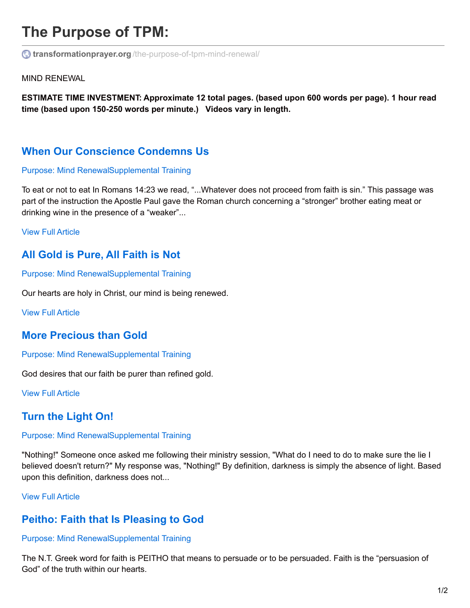# **The Purpose of TPM:**

**transformationprayer.org** [/the-purpose-of-tpm-mind-renewal/](http://www.transformationprayer.org/the-purpose-of-tpm-mind-renewal/)

MIND RENEWAL

**ESTIMATE TIME INVESTMENT: Approximate 12 total pages. (based upon 600 words per page). 1 hour read time (based upon 150-250 words per minute.) Videos vary in length.**

# **When Our [Conscience](http://www.transformationprayer.org/conscience-condemns-us/) Condemns Us**

### [Purpose:](http://www.transformationprayer.org/category/supplemental-training/purpose/purpose-mind-renewal/) Mind Renewa[lSupplemental](http://www.transformationprayer.org/category/supplemental-training/) Training

To eat or not to eat In Romans 14:23 we read, "...Whatever does not proceed from faith is sin." This passage was part of the instruction the Apostle Paul gave the Roman church concerning a "stronger" brother eating meat or drinking wine in the presence of a "weaker"...

View Full [Article](http://www.transformationprayer.org/conscience-condemns-us/)

### **All Gold is [Pure,](http://www.transformationprayer.org/all-gold-is-pure-all-faith-is-not/) All Faith is Not**

[Purpose:](http://www.transformationprayer.org/category/supplemental-training/purpose/purpose-mind-renewal/) Mind Renewa[lSupplemental](http://www.transformationprayer.org/category/supplemental-training/) Training

Our hearts are holy in Christ, our mind is being renewed.

View Full [Article](http://www.transformationprayer.org/all-gold-is-pure-all-faith-is-not/)

### **More [Precious](http://www.transformationprayer.org/more-precious-than-gold/) than Gold**

[Purpose:](http://www.transformationprayer.org/category/supplemental-training/purpose/purpose-mind-renewal/) Mind Renewa[lSupplemental](http://www.transformationprayer.org/category/supplemental-training/) Training

God desires that our faith be purer than refined gold.

View Full [Article](http://www.transformationprayer.org/more-precious-than-gold/)

# **Turn the [Light](http://www.transformationprayer.org/turn-the-light-on/) On!**

### [Purpose:](http://www.transformationprayer.org/category/supplemental-training/purpose/purpose-mind-renewal/) Mind Renewa[lSupplemental](http://www.transformationprayer.org/category/supplemental-training/) Training

"Nothing!" Someone once asked me following their ministry session, "What do I need to do to make sure the lie I believed doesn't return?" My response was, "Nothing!" By definition, darkness is simply the absence of light. Based upon this definition, darkness does not...

### View Full [Article](http://www.transformationprayer.org/turn-the-light-on/)

### **Peitho: Faith that Is [Pleasing](http://www.transformationprayer.org/peitho-faith-that-is-pleasing-to-god/) to God**

### [Purpose:](http://www.transformationprayer.org/category/supplemental-training/purpose/purpose-mind-renewal/) Mind Renewa[lSupplemental](http://www.transformationprayer.org/category/supplemental-training/) Training

The N.T. Greek word for faith is PEITHO that means to persuade or to be persuaded. Faith is the "persuasion of God" of the truth within our hearts.